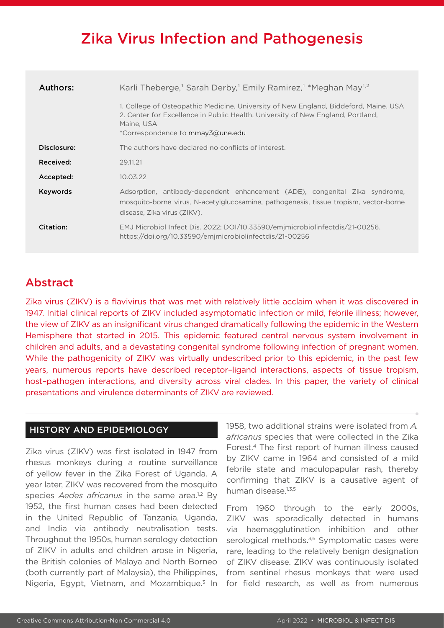# Zika Virus Infection and Pathogenesis

| Authors:    | Karli Theberge, <sup>1</sup> Sarah Derby, <sup>1</sup> Emily Ramirez, <sup>1</sup> *Meghan May <sup>1,2</sup>                                                                                                             |
|-------------|---------------------------------------------------------------------------------------------------------------------------------------------------------------------------------------------------------------------------|
|             | 1. College of Osteopathic Medicine, University of New England, Biddeford, Maine, USA<br>2. Center for Excellence in Public Health, University of New England, Portland,<br>Maine, USA<br>*Correspondence to mmay3@une.edu |
| Disclosure: | The authors have declared no conflicts of interest.                                                                                                                                                                       |
| Received:   | 29.11.21                                                                                                                                                                                                                  |
| Accepted:   | 10.03.22                                                                                                                                                                                                                  |
| Keywords    | Adsorption, antibody-dependent enhancement (ADE), congenital Zika syndrome,<br>mosquito-borne virus, N-acetylglucosamine, pathogenesis, tissue tropism, vector-borne<br>disease, Zika virus (ZIKV).                       |
| Citation:   | EMJ Microbiol Infect Dis. 2022; DOI/10.33590/emjmicrobiolinfectdis/21-00256.<br>https://doi.org/10.33590/emimicrobiolinfectdis/21-00256                                                                                   |

## Abstract

Zika virus (ZIKV) is a flavivirus that was met with relatively little acclaim when it was discovered in 1947. Initial clinical reports of ZIKV included asymptomatic infection or mild, febrile illness; however, the view of ZIKV as an insignificant virus changed dramatically following the epidemic in the Western Hemisphere that started in 2015. This epidemic featured central nervous system involvement in children and adults, and a devastating congenital syndrome following infection of pregnant women. While the pathogenicity of ZIKV was virtually undescribed prior to this epidemic, in the past few years, numerous reports have described receptor–ligand interactions, aspects of tissue tropism, host–pathogen interactions, and diversity across viral clades. In this paper, the variety of clinical presentations and virulence determinants of ZIKV are reviewed.

#### HISTORY AND EPIDEMIOLOGY

Zika virus (ZIKV) was first isolated in 1947 from rhesus monkeys during a routine surveillance of yellow fever in the Zika Forest of Uganda. A year later, ZIKV was recovered from the mosquito species *Aedes africanus* in the same area.<sup>1,2</sup> By 1952, the first human cases had been detected in the United Republic of Tanzania, Uganda, and India via antibody neutralisation tests. Throughout the 1950s, human serology detection of ZIKV in adults and children arose in Nigeria, the British colonies of Malaya and North Borneo (both currently part of Malaysia), the Philippines, Nigeria, Egypt, Vietnam, and Mozambique.<sup>3</sup> In

1958, two additional strains were isolated from *A. africanus* species that were collected in the Zika Forest.4 The first report of human illness caused by ZIKV came in 1964 and consisted of a mild febrile state and maculopapular rash, thereby confirming that ZIKV is a causative agent of human disease.<sup>1,3,5</sup>

From 1960 through to the early 2000s, ZIKV was sporadically detected in humans via haemagglutination inhibition and other serological methods.<sup>3,6</sup> Symptomatic cases were rare, leading to the relatively benign designation of ZIKV disease. ZIKV was continuously isolated from sentinel rhesus monkeys that were used for field research, as well as from numerous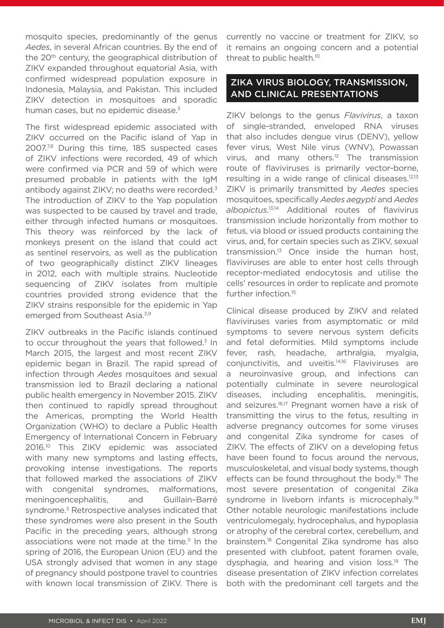mosquito species, predominantly of the genus *Aedes*, in several African countries. By the end of the 20<sup>th</sup> century, the geographical distribution of ZIKV expanded throughout equatorial Asia, with confirmed widespread population exposure in Indonesia, Malaysia, and Pakistan. This included ZIKV detection in mosquitoes and sporadic human cases, but no epidemic disease.<sup>3</sup>

The first widespread epidemic associated with ZIKV occurred on the Pacific island of Yap in 2007.<sup>7,8</sup> During this time, 185 suspected cases of ZIKV infections were recorded, 49 of which were confirmed via PCR and 59 of which were presumed probable in patients with the IgM antibody against ZIKV; no deaths were recorded.<sup>3</sup> The introduction of ZIKV to the Yap population was suspected to be caused by travel and trade, either through infected humans or mosquitoes. This theory was reinforced by the lack of monkeys present on the island that could act as sentinel reservoirs, as well as the publication of two geographically distinct ZIKV lineages in 2012, each with multiple strains. Nucleotide sequencing of ZIKV isolates from multiple countries provided strong evidence that the ZIKV strains responsible for the epidemic in Yap emerged from Southeast Asia.<sup>3,9</sup>

ZIKV outbreaks in the Pacific islands continued to occur throughout the years that followed. $3$  In March 2015, the largest and most recent ZIKV epidemic began in Brazil. The rapid spread of infection through *Aedes* mosquitoes and sexual transmission led to Brazil declaring a national public health emergency in November 2015. ZIKV then continued to rapidly spread throughout the Americas, prompting the World Health Organization (WHO) to declare a Public Health Emergency of International Concern in February 2016.10 This ZIKV epidemic was associated with many new symptoms and lasting effects, provoking intense investigations. The reports that followed marked the associations of ZIKV with congenital syndromes, malformations, meningoencephalitis, and Guillain–Barré syndrome.<sup>3</sup> Retrospective analyses indicated that these syndromes were also present in the South Pacific in the preceding years, although strong associations were not made at the time.<sup>11</sup> In the spring of 2016, the European Union (EU) and the USA strongly advised that women in any stage of pregnancy should postpone travel to countries with known local transmission of ZIKV. There is

currently no vaccine or treatment for ZIKV, so it remains an ongoing concern and a potential threat to public health.<sup>10</sup>

#### ZIKA VIRUS BIOLOGY, TRANSMISSION, AND CLINICAL PRESENTATIONS

ZIKV belongs to the genus *Flavivirus*, a taxon of single-stranded, enveloped RNA viruses that also includes dengue virus (DENV), yellow fever virus, West Nile virus (WNV), Powassan virus, and many others.<sup>12</sup> The transmission route of flaviviruses is primarily vector-borne, resulting in a wide range of clinical diseases.<sup>12,13</sup> ZIKV is primarily transmitted by *Aedes* species mosquitoes, specifically *Aedes aegypti* and *Aedes albopictus*. 13,14 Additional routes of flavivirus transmission include horizontally from mother to fetus, via blood or issued products containing the virus, and, for certain species such as ZIKV, sexual transmission.13 Once inside the human host, flaviviruses are able to enter host cells through receptor-mediated endocytosis and utilise the cells' resources in order to replicate and promote further infection.<sup>15</sup>

Clinical disease produced by ZIKV and related flaviviruses varies from asymptomatic or mild symptoms to severe nervous system deficits and fetal deformities. Mild symptoms include fever, rash, headache, arthralgia, myalgia, conjunctivitis, and uveitis.14,16 Flaviviruses are a neuroinvasive group, and infections can potentially culminate in severe neurological diseases, including encephalitis, meningitis, and seizures.16,17 Pregnant women have a risk of transmitting the virus to the fetus, resulting in adverse pregnancy outcomes for some viruses and congenital Zika syndrome for cases of ZIKV. The effects of ZIKV on a developing fetus have been found to focus around the nervous, musculoskeletal, and visual body systems, though effects can be found throughout the body.<sup>18</sup> The most severe presentation of congenital Zika syndrome in liveborn infants is microcephaly.<sup>19</sup> Other notable neurologic manifestations include ventriculomegaly, hydrocephalus, and hypoplasia or atrophy of the cerebral cortex, cerebellum, and brainstem.18 Congenital Zika syndrome has also presented with clubfoot, patent foramen ovale, dysphagia, and hearing and vision loss.19 The disease presentation of ZIKV infection correlates both with the predominant cell targets and the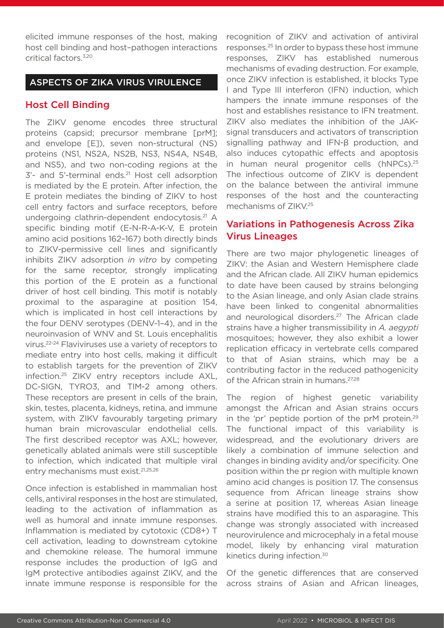elicited immune responses of the host, making host cell binding and host–pathogen interactions critical factors.3,20

#### ASPECTS OF ZIKA VIRUS VIRULENCE

#### Host Cell Binding

The ZIKV genome encodes three structural proteins (capsid; precursor membrane [prM]; and envelope [E]), seven non-structural (NS) proteins (NS1, NS2A, NS2B, NS3, NS4A, NS4B, and NS5), and two non-coding regions at the 3'- and 5'-terminal ends.<sup>21</sup> Host cell adsorption is mediated by the E protein. After infection, the E protein mediates the binding of ZIKV to host cell entry factors and surface receptors, before undergoing clathrin-dependent endocytosis.21 A specific binding motif (E-N-R-A-K-V, E protein amino acid positions 162–167) both directly binds to ZIKV-permissive cell lines and significantly inhibits ZIKV adsorption *in vitro* by competing for the same receptor, strongly implicating this portion of the E protein as a functional driver of host cell binding. This motif is notably proximal to the asparagine at position 154, which is implicated in host cell interactions by the four DENV serotypes (DENV-1–4), and in the neuroinvasion of WNV and St. Louis encephalitis virus.22-24 Flaviviruses use a variety of receptors to mediate entry into host cells, making it difficult to establish targets for the prevention of ZIKV infection.25 ZIKV entry receptors include AXL, DC-SIGN, TYRO3, and TIM-2 among others. These receptors are present in cells of the brain, skin, testes, placenta, kidneys, retina, and immune system, with ZIKV favourably targeting primary human brain microvascular endothelial cells. The first described receptor was AXL; however, genetically ablated animals were still susceptible to infection, which indicated that multiple viral entry mechanisms must exist.21,25,26

Once infection is established in mammalian host cells, antiviral responses in the host are stimulated, leading to the activation of inflammation as well as humoral and innate immune responses. Inflammation is mediated by cytotoxic (CD8+) T cell activation, leading to downstream cytokine and chemokine release. The humoral immune response includes the production of IgG and IgM protective antibodies against ZIKV, and the innate immune response is responsible for the

recognition of ZIKV and activation of antiviral responses.25 In order to bypass these host immune responses, ZIKV has established numerous mechanisms of evading destruction. For example, once ZIKV infection is established, it blocks Type I and Type III interferon (IFN) induction, which hampers the innate immune responses of the host and establishes resistance to IFN treatment. ZIKV also mediates the inhibition of the JAKsignal transducers and activators of transcription signalling pathway and IFN-β production, and also induces cytopathic effects and apoptosis in human neural progenitor cells (hNPCs).<sup>25</sup> The infectious outcome of ZIKV is dependent on the balance between the antiviral immune responses of the host and the counteracting mechanisms of ZIKV.25

### Variations in Pathogenesis Across Zika Virus Lineages

There are two major phylogenetic lineages of ZIKV: the Asian and Western Hemisphere clade and the African clade. All ZIKV human epidemics to date have been caused by strains belonging to the Asian lineage, and only Asian clade strains have been linked to congenital abnormalities and neurological disorders.<sup>27</sup> The African clade strains have a higher transmissibility in *A. aegypti* mosquitoes; however, they also exhibit a lower replication efficacy in vertebrate cells compared to that of Asian strains, which may be a contributing factor in the reduced pathogenicity of the African strain in humans.27,28

The region of highest genetic variability amongst the African and Asian strains occurs in the 'pr' peptide portion of the prM protein.<sup>29</sup> The functional impact of this variability is widespread, and the evolutionary drivers are likely a combination of immune selection and changes in binding avidity and/or specificity. One position within the pr region with multiple known amino acid changes is position 17. The consensus sequence from African lineage strains show a serine at position 17, whereas Asian lineage strains have modified this to an asparagine. This change was strongly associated with increased neurovirulence and microcephaly in a fetal mouse model, likely by enhancing viral maturation kinetics during infection.30

Of the genetic differences that are conserved across strains of Asian and African lineages,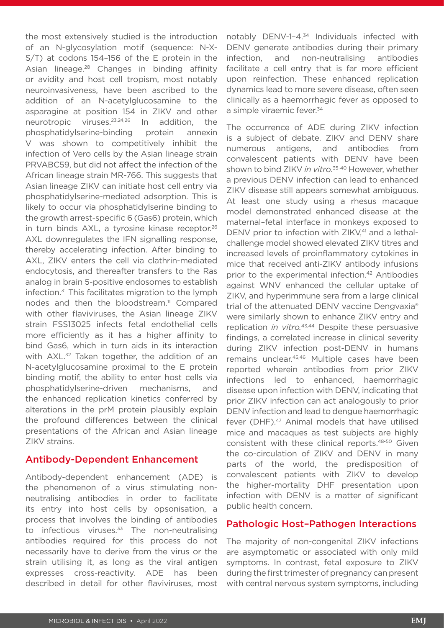the most extensively studied is the introduction of an N-glycosylation motif (sequence: N-X-S/T) at codons 154–156 of the E protein in the Asian lineage.28 Changes in binding affinity or avidity and host cell tropism, most notably neuroinvasiveness, have been ascribed to the addition of an N-acetylglucosamine to the asparagine at position 154 in ZIKV and other neurotropic viruses.23,24,26 In addition, the phosphatidylserine-binding protein annexin V was shown to competitively inhibit the infection of Vero cells by the Asian lineage strain PRVABC59, but did not affect the infection of the African lineage strain MR-766. This suggests that Asian lineage ZIKV can initiate host cell entry via phosphatidylserine-mediated adsorption. This is likely to occur via phosphatidylserine binding to the growth arrest-specific 6 (Gas6) protein, which in turn binds AXL, a tyrosine kinase receptor.<sup>26</sup> AXL downregulates the IFN signalling response, thereby accelerating infection. After binding to AXL, ZIKV enters the cell via clathrin-mediated endocytosis, and thereafter transfers to the Ras analog in brain 5-positive endosomes to establish infection.31 This facilitates migration to the lymph nodes and then the bloodstream.<sup>11</sup> Compared with other flaviviruses, the Asian lineage ZIKV strain FSS13025 infects fetal endothelial cells more efficiently as it has a higher affinity to bind Gas6, which in turn aids in its interaction with AXL.<sup>32</sup> Taken together, the addition of an N-acetylglucosamine proximal to the E protein binding motif, the ability to enter host cells via phosphatidylserine-driven mechanisms, and the enhanced replication kinetics conferred by alterations in the prM protein plausibly explain the profound differences between the clinical presentations of the African and Asian lineage ZIKV strains.

#### Antibody-Dependent Enhancement

Antibody-dependent enhancement (ADE) is the phenomenon of a virus stimulating nonneutralising antibodies in order to facilitate its entry into host cells by opsonisation, a process that involves the binding of antibodies to infectious viruses. $33$  The non-neutralising antibodies required for this process do not necessarily have to derive from the virus or the strain utilising it, as long as the viral antigen expresses cross-reactivity. ADE has been described in detail for other flaviviruses, most

notably DENV-1-4.<sup>34</sup> Individuals infected with DENV generate antibodies during their primary infection, and non-neutralising antibodies facilitate a cell entry that is far more efficient upon reinfection. These enhanced replication dynamics lead to more severe disease, often seen clinically as a haemorrhagic fever as opposed to a simple viraemic fever.<sup>34</sup>

The occurrence of ADE during ZIKV infection is a subject of debate. ZIKV and DENV share numerous antigens, and antibodies from convalescent patients with DENV have been shown to bind ZIKV *in vitro*. 35-40 However, whether a previous DENV infection can lead to enhanced ZIKV disease still appears somewhat ambiguous. At least one study using a rhesus macaque model demonstrated enhanced disease at the maternal–fetal interface in monkeys exposed to DENV prior to infection with ZIKV,<sup>41</sup> and a lethalchallenge model showed elevated ZIKV titres and increased levels of proinflammatory cytokines in mice that received anti-ZIKV antibody infusions prior to the experimental infection.<sup>42</sup> Antibodies against WNV enhanced the cellular uptake of ZIKV, and hyperimmune sera from a large clinical trial of the attenuated DENV vaccine Dengvaxia® were similarly shown to enhance ZIKV entry and replication *in vitro.*43,44 Despite these persuasive findings, a correlated increase in clinical severity during ZIKV infection post-DENV in humans remains unclear.45,46 Multiple cases have been reported wherein antibodies from prior ZIKV infections led to enhanced, haemorrhagic disease upon infection with DENV, indicating that prior ZIKV infection can act analogously to prior DENV infection and lead to dengue haemorrhagic fever (DHF).<sup>47</sup> Animal models that have utilised mice and macaques as test subjects are highly consistent with these clinical reports.48-50 Given the co-circulation of ZIKV and DENV in many parts of the world, the predisposition of convalescent patients with ZIKV to develop the higher-mortality DHF presentation upon infection with DENV is a matter of significant public health concern.

#### Pathologic Host–Pathogen Interactions

The majority of non-congenital ZIKV infections are asymptomatic or associated with only mild symptoms. In contrast, fetal exposure to ZIKV during the first trimester of pregnancy can present with central nervous system symptoms, including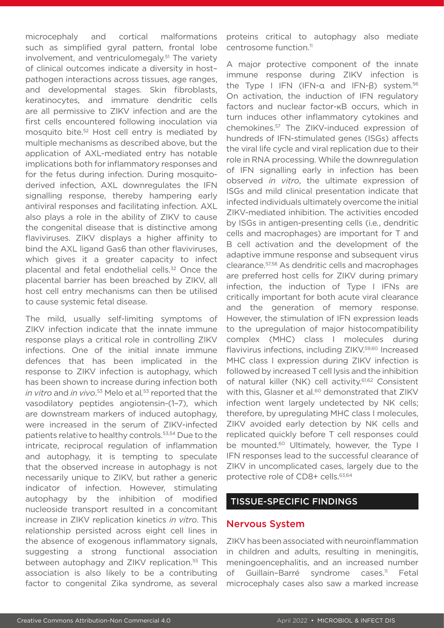microcephaly and cortical malformations such as simplified gyral pattern, frontal lobe involvement, and ventriculomegaly.51 The variety of clinical outcomes indicate a diversity in host– pathogen interactions across tissues, age ranges, and developmental stages. Skin fibroblasts, keratinocytes, and immature dendritic cells are all permissive to ZIKV infection and are the first cells encountered following inoculation via mosquito bite.52 Host cell entry is mediated by multiple mechanisms as described above, but the application of AXL-mediated entry has notable implications both for inflammatory responses and for the fetus during infection. During mosquitoderived infection, AXL downregulates the IFN signalling response, thereby hampering early antiviral responses and facilitating infection. AXL also plays a role in the ability of ZIKV to cause the congenital disease that is distinctive among flaviviruses. ZIKV displays a higher affinity to bind the AXL ligand Gas6 than other flaviviruses, which gives it a greater capacity to infect placental and fetal endothelial cells.<sup>32</sup> Once the placental barrier has been breached by ZIKV, all host cell entry mechanisms can then be utilised to cause systemic fetal disease.

The mild, usually self-limiting symptoms of ZIKV infection indicate that the innate immune response plays a critical role in controlling ZIKV infections. One of the initial innate immune defences that has been implicated in the response to ZIKV infection is autophagy, which has been shown to increase during infection both *in vitro* and *in vivo*. 53 Melo et al*.* 53 reported that the vasodilatory peptides angiotensin-(1–7), which are downstream markers of induced autophagy, were increased in the serum of ZIKV-infected patients relative to healthy controls.53,54 Due to the intricate, reciprocal regulation of inflammation and autophagy, it is tempting to speculate that the observed increase in autophagy is not necessarily unique to ZIKV, but rather a generic indicator of infection. However, stimulating autophagy by the inhibition of modified nucleoside transport resulted in a concomitant increase in ZIKV replication kinetics *in vitro*. This relationship persisted across eight cell lines in the absence of exogenous inflammatory signals, suggesting a strong functional association between autophagy and ZIKV replication.<sup>55</sup> This association is also likely to be a contributing factor to congenital Zika syndrome, as several

proteins critical to autophagy also mediate centrosome function.11

A major protective component of the innate immune response during ZIKV infection is the Type I IFN (IFN-α and IFN-β) system.<sup>56</sup> On activation, the induction of IFN regulatory factors and nuclear factor-κB occurs, which in turn induces other inflammatory cytokines and chemokines.57 The ZIKV-induced expression of hundreds of IFN-stimulated genes (ISGs) affects the viral life cycle and viral replication due to their role in RNA processing. While the downregulation of IFN signalling early in infection has been observed *in vitro*, the ultimate expression of ISGs and mild clinical presentation indicate that infected individuals ultimately overcome the initial ZIKV-mediated inhibition. The activities encoded by ISGs in antigen-presenting cells (i.e*.*, dendritic cells and macrophages) are important for T and B cell activation and the development of the adaptive immune response and subsequent virus clearance.57,58 As dendritic cells and macrophages are preferred host cells for ZIKV during primary infection, the induction of Type I IFNs are critically important for both acute viral clearance and the generation of memory response. However, the stimulation of IFN expression leads to the upregulation of major histocompatibility complex (MHC) class I molecules during flavivirus infections, including ZIKV.<sup>59,60</sup> Increased MHC class I expression during ZIKV infection is followed by increased T cell lysis and the inhibition of natural killer (NK) cell activity.61,62 Consistent with this, Glasner et al.<sup>60</sup> demonstrated that ZIKV infection went largely undetected by NK cells; therefore, by upregulating MHC class I molecules, ZIKV avoided early detection by NK cells and replicated quickly before T cell responses could be mounted.<sup>60</sup> Ultimately, however, the Type I IFN responses lead to the successful clearance of ZIKV in uncomplicated cases, largely due to the protective role of CD8+ cells.<sup>63,64</sup>

#### TISSUE-SPECIFIC FINDINGS

#### Nervous System

ZIKV has been associated with neuroinflammation in children and adults, resulting in meningitis, meningoencephalitis, and an increased number of Guillain-Barré syndrome cases.<sup>11</sup> Fetal microcephaly cases also saw a marked increase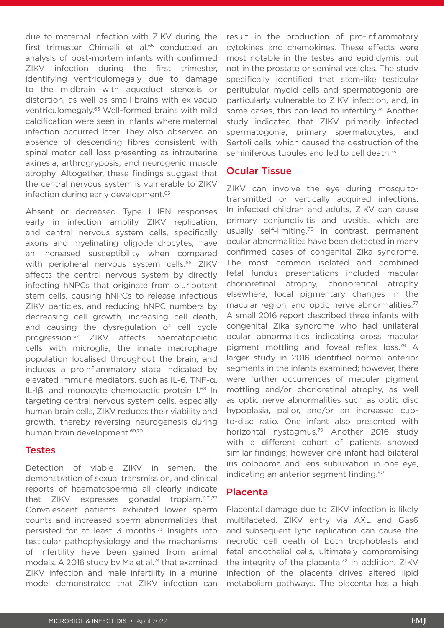due to maternal infection with ZIKV during the first trimester. Chimelli et al.<sup>65</sup> conducted an analysis of post-mortem infants with confirmed ZIKV infection during the first trimester, identifying ventriculomegaly due to damage to the midbrain with aqueduct stenosis or distortion, as well as small brains with ex-vacuo ventriculomegaly.65 Well-formed brains with mild calcification were seen in infants where maternal infection occurred later. They also observed an absence of descending fibres consistent with spinal motor cell loss presenting as intrauterine akinesia, arthrogryposis, and neurogenic muscle atrophy. Altogether, these findings suggest that the central nervous system is vulnerable to ZIKV infection during early development.<sup>65</sup>

Absent or decreased Type I IFN responses early in infection amplify ZIKV replication, and central nervous system cells, specifically axons and myelinating oligodendrocytes, have an increased susceptibility when compared with peripheral nervous system cells.<sup>66</sup> ZIKV affects the central nervous system by directly infecting hNPCs that originate from pluripotent stem cells, causing hNPCs to release infectious ZIKV particles, and reducing hNPC numbers by decreasing cell growth, increasing cell death, and causing the dysregulation of cell cycle progression.67 ZIKV affects haematopoietic cells with microglia, the innate macrophage population localised throughout the brain, and induces a proinflammatory state indicated by elevated immune mediators, such as IL-6, TNF-α, IL-1β, and monocyte chemotactic protein 1.68 In targeting central nervous system cells, especially human brain cells, ZIKV reduces their viability and growth, thereby reversing neurogenesis during human brain development.69,70

#### **Testes**

Detection of viable ZIKV in semen, the demonstration of sexual transmission, and clinical reports of haematospermia all clearly indicate that ZIKV expresses gonadal tropism.<sup>11,71,72</sup> Convalescent patients exhibited lower sperm counts and increased sperm abnormalities that persisted for at least 3 months.73 Insights into testicular pathophysiology and the mechanisms of infertility have been gained from animal models. A 2016 study by Ma et al.<sup>74</sup> that examined ZIKV infection and male infertility in a murine model demonstrated that ZIKV infection can

result in the production of pro-inflammatory cytokines and chemokines. These effects were most notable in the testes and epididymis, but not in the prostate or seminal vesicles. The study specifically identified that stem-like testicular peritubular myoid cells and spermatogonia are particularly vulnerable to ZIKV infection, and, in some cases, this can lead to infertility.<sup>74</sup> Another study indicated that ZIKV primarily infected spermatogonia, primary spermatocytes, and Sertoli cells, which caused the destruction of the seminiferous tubules and led to cell death.<sup>75</sup>

#### Ocular Tissue

ZIKV can involve the eye during mosquitotransmitted or vertically acquired infections. In infected children and adults, ZIKV can cause primary conjunctivitis and uveitis, which are usually self-limiting.76 In contrast, permanent ocular abnormalities have been detected in many confirmed cases of congenital Zika syndrome. The most common isolated and combined fetal fundus presentations included macular chorioretinal atrophy, chorioretinal atrophy elsewhere, focal pigmentary changes in the macular region, and optic nerve abnormalities.<sup>77</sup> A small 2016 report described three infants with congenital Zika syndrome who had unilateral ocular abnormalities indicating gross macular pigment mottling and foveal reflex loss.78 A larger study in 2016 identified normal anterior segments in the infants examined; however, there were further occurrences of macular pigment mottling and/or chorioretinal atrophy, as well as optic nerve abnormalities such as optic disc hypoplasia, pallor, and/or an increased cupto-disc ratio. One infant also presented with horizontal nystagmus.79 Another 2016 study with a different cohort of patients showed similar findings; however one infant had bilateral iris coloboma and lens subluxation in one eye, indicating an anterior segment finding.<sup>80</sup>

#### Placenta

Placental damage due to ZIKV infection is likely multifaceted. ZIKV entry via AXL and Gas6 and subsequent lytic replication can cause the necrotic cell death of both trophoblasts and fetal endothelial cells, ultimately compromising the integrity of the placenta. $32$  In addition, ZIKV infection of the placenta drives altered lipid metabolism pathways. The placenta has a high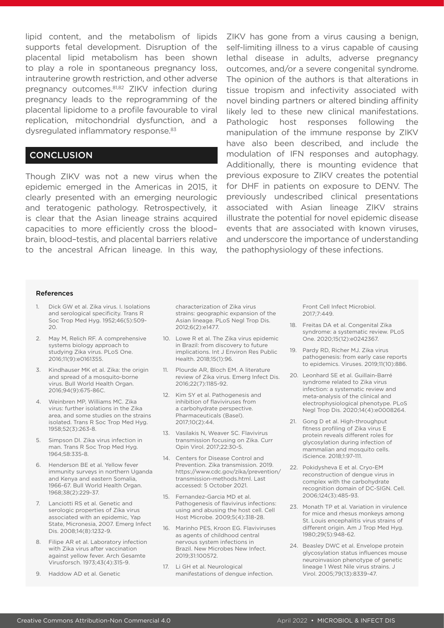lipid content, and the metabolism of lipids supports fetal development. Disruption of the placental lipid metabolism has been shown to play a role in spontaneous pregnancy loss, intrauterine growth restriction, and other adverse pregnancy outcomes.81,82 ZIKV infection during pregnancy leads to the reprogramming of the placental lipidome to a profile favourable to viral replication, mitochondrial dysfunction, and a dysregulated inflammatory response.<sup>83</sup>

#### **CONCLUSION**

Though ZIKV was not a new virus when the epidemic emerged in the Americas in 2015, it clearly presented with an emerging neurologic and teratogenic pathology. Retrospectively, it is clear that the Asian lineage strains acquired capacities to more efficiently cross the blood– brain, blood–testis, and placental barriers relative to the ancestral African lineage. In this way, ZIKV has gone from a virus causing a benign, self-limiting illness to a virus capable of causing lethal disease in adults, adverse pregnancy outcomes, and/or a severe congenital syndrome. The opinion of the authors is that alterations in tissue tropism and infectivity associated with novel binding partners or altered binding affinity likely led to these new clinical manifestations. Pathologic host responses following the manipulation of the immune response by ZIKV have also been described, and include the modulation of IFN responses and autophagy. Additionally, there is mounting evidence that previous exposure to ZIKV creates the potential for DHF in patients on exposure to DENV. The previously undescribed clinical presentations associated with Asian lineage ZIKV strains illustrate the potential for novel epidemic disease events that are associated with known viruses, and underscore the importance of understanding the pathophysiology of these infections.

#### References

- 1. Dick GW et al. Zika virus. I. Isolations and serological specificity. Trans R Soc Trop Med Hyg. 1952;46(5):509-  $20.$
- 2. May M, Relich RF. A comprehensive systems biology approach to studying Zika virus. PLoS One. 2016;11(9):e0161355.
- 3. Kindhauser MK et al. Zika: the origin and spread of a mosquito-borne virus. Bull World Health Organ. 2016;94(9):675-86C.
- 4. Weinbren MP, Williams MC. Zika virus: further isolations in the Zika area, and some studies on the strains isolated. Trans R Soc Trop Med Hyg. 1958;52(3):263-8.
- 5. Simpson DI. Zika virus infection in man. Trans R Soc Trop Med Hyg. 1964;58:335-8.
- 6. Henderson BE et al. Yellow fever immunity surveys in northern Uganda and Kenya and eastern Somalia, 1966-67. Bull World Health Organ. 1968;38(2):229-37.
- 7. Lanciotti RS et al. Genetic and serologic properties of Zika virus associated with an epidemic, Yap State, Micronesia, 2007. Emerg Infect Dis. 2008;14(8):1232-9.
- 8. Filipe AR et al. Laboratory infection with Zika virus after vaccination against yellow fever. Arch Gesamte Virusforsch. 1973;43(4):315-9.
- 9. Haddow AD et al. Genetic

characterization of Zika virus strains: geographic expansion of the Asian lineage. PLoS Negl Trop Dis. 2012;6(2):e1477.

- 10. Lowe R et al. The Zika virus epidemic in Brazil: from discovery to future implications. Int J Environ Res Public Health. 2018;15(1):96.
- 11. Plourde AR, Bloch EM. A literature review of Zika virus. Emerg Infect Dis. 2016;22(7):1185-92.
- 12. Kim SY et al. Pathogenesis and inhibition of flaviviruses from a carbohydrate perspective. Pharmaceuticals (Basel). 2017;10(2):44.
- 13. Vasilakis N, Weaver SC. Flavivirus transmission focusing on Zika. Curr Opin Virol. 2017;22:30-5.
- 14. Centers for Disease Control and Prevention. Zika transmission. 2019. https://www.cdc.gov/zika/prevention/ transmission-methods.html. Last accessed: 5 October 2021.
- 15. Fernandez-Garcia MD et al. Pathogenesis of flavivirus infections: using and abusing the host cell. Cell Host Microbe. 2009;5(4):318-28.
- 16. Marinho PES, Kroon EG. Flaviviruses as agents of childhood central nervous system infections in Brazil. New Microbes New Infect. 2019;31:100572.
- 17. Li GH et al. Neurological manifestations of dengue infection.

Front Cell Infect Microbiol. 2017;7:449.

- 18. Freitas DA et al. Congenital Zika syndrome: a systematic review. PLoS One. 2020;15(12):e0242367.
- 19. Pardy RD, Richer MJ. Zika virus pathogenesis: from early case reports to epidemics. Viruses. 2019;11(10):886.
- 20. Leonhard SE et al. Guillain-Barré syndrome related to Zika virus infection: a systematic review and meta-analysis of the clinical and electrophysiological phenotype. PLoS Negl Trop Dis. 2020;14(4):e0008264.
- 21. Gong D et al. High-throughput fitness profiling of Zika virus E protein reveals different roles for glycosylation during infection of mammalian and mosquito cells. iScience. 2018;1:97-111.
- 22. Pokidysheva E et al. Cryo-EM reconstruction of dengue virus in complex with the carbohydrate recognition domain of DC-SIGN. Cell. 2006;124(3):485-93.
- 23. Monath TP et al. Variation in virulence for mice and rhesus monkeys among St. Louis encephalitis virus strains of different origin. Am J Trop Med Hyg. 1980;29(5):948-62.
- 24. Beasley DWC et al. Envelope protein glycosylation status influences mouse neuroinvasion phenotype of genetic lineage 1 West Nile virus strains. J Virol. 2005;79(13):8339-47.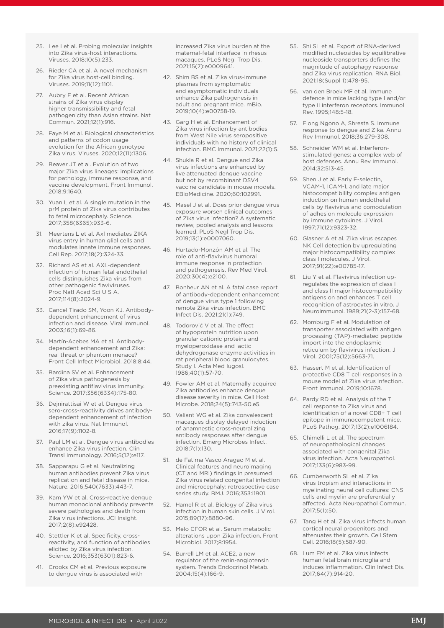- 25. Lee I et al. Probing molecular insights into Zika virus-host interactions. Viruses. 2018;10(5):233.
- 26. Rieder CA et al. A novel mechanism for Zika virus host-cell binding. Viruses. 2019;11(12):1101.
- 27. Aubry F et al. Recent African strains of Zika virus display higher transmissibility and fetal pathogenicity than Asian strains. Nat Commun. 2021;12(1):916.
- 28. Faye M et al. Biological characteristics and patterns of codon usage evolution for the African genotype Zika virus. Viruses. 2020;12(11):1306.
- 29. Beaver JT et al. Evolution of two major Zika virus lineages: implications for pathology, immune response, and vaccine development. Front Immunol. 2018;9:1640.
- 30. Yuan L et al. A single mutation in the prM protein of Zika virus contributes to fetal microcephaly. Science. 2017;358(6365):933-6.
- 31. Meertens L et al. Axl mediates ZIKA virus entry in human glial cells and modulates innate immune responses. Cell Rep. 2017;18(2):324-33.
- 32. Richard AS et al. AXL-dependent infection of human fetal endothelial cells distinguishes Zika virus from other pathogenic flaviviruses. Proc Natl Acad Sci U S A. 2017;114(8):2024-9.
- 33. Cancel Tirado SM, Yoon KJ. Antibodydependent enhancement of virus infection and disease. Viral Immunol. 2003;16(1):69-86.
- 34. Martín-Acebes MA et al. Antibodydependent enhancement and Zika: real threat or phantom menace? Front Cell Infect Microbiol. 2018;8:44.
- 35. Bardina SV et al. Enhancement of Zika virus pathogenesis by preexisting antiflavivirus immunity. Science. 2017;356(6334):175-80.
- 36. Dejnirattisai W et al. Dengue virus sero-cross-reactivity drives antibodydependent enhancement of infection with zika virus. Nat Immunol. 2016;17(9):1102-8.
- 37. Paul LM et al. Dengue virus antibodies enhance Zika virus infection. Clin Transl Immunology. 2016;5(12):e117.
- 38. Sapparapu G et al. Neutralizing human antibodies prevent Zika virus replication and fetal disease in mice. Nature. 2016;540(7633):443-7.
- 39. Kam YW et al. Cross-reactive dengue human monoclonal antibody prevents severe pathologies and death from Zika virus infections. JCI Insight. 2017;2(8):e92428.
- 40. Stettler K et al. Specificity, crossreactivity, and function of antibodies elicited by Zika virus infection. Science. 2016;353(6301):823-6.
- 41. Crooks CM et al. Previous exposure to dengue virus is associated with

increased Zika virus burden at the maternal-fetal interface in rhesus macaques. PLoS Negl Trop Dis. 2021;15(7):e0009641.

- 42. Shim BS et al. Zika virus-immune plasmas from symptomatic and asymptomatic individuals enhance Zika pathogenesis in adult and pregnant mice. mBio. 2019;10(4):e00758-19.
- 43. Garg H et al. Enhancement of Zika virus infection by antibodies from West Nile virus seropositive individuals with no history of clinical infection. BMC Immunol. 2021;22(1):5.
- 44. Shukla R et al. Dengue and Zika virus infections are enhanced by live attenuated dengue vaccine but not by recombinant DSV4 vaccine candidate in mouse models. EBioMedicine. 2020;60:102991.
- 45. Masel J et al. Does prior dengue virus exposure worsen clinical outcomes of Zika virus infection? A systematic review, pooled analysis and lessons learned. PLoS Negl Trop Dis. 2019;13(1):e0007060.
- 46. Hurtado-Monzón AM et al. The role of anti-flavivirus humoral immune response in protection and pathogenesis. Rev Med Virol. 2020;30(4):e2100.
- 47. Bonheur AN et al. A fatal case report of antibody-dependent enhancement of dengue virus type 1 following remote Zika virus infection. BMC Infect Dis. 2021;21(1):749.
- 48. Todorović V et al. The effect of hypoprotein nutrition upon granular cationic proteins and myeloperoxidase and lactic dehydrogenase enzyme activities in rat peripheral blood granulocytes. Study I. Acta Med Iugosl. 1986;40(1):57-70.
- 49. Fowler AM et al. Maternally acquired Zika antibodies enhance dengue disease severity in mice. Cell Host Microbe. 2018;24(5):743-50.e5.
- 50. Valiant WG et al. Zika convalescent macaques display delayed induction of anamnestic cross-neutralizing antibody responses after dengue infection. Emerg Microbes Infect. 2018;7(1):130.
- 51. de Fatima Vasco Aragao M et al. Clinical features and neuroimaging (CT and MRI) findings in presumed Zika virus related congenital infection and microcephaly: retrospective case series study. BMJ. 2016;353:i1901.
- 52. Hamel R et al. Biology of Zika virus infection in human skin cells. J Virol. 2015;89(17):8880-96.
- 53. Melo CFOR et al. Serum metabolic alterations upon Zika infection. Front Microbiol. 2017;8:1954.
- 54. Burrell J M et al. ACE2, a new regulator of the renin-angiotensin system. Trends Endocrinol Metab. 2004;15(4):166-9.
- 55. Shi SL et al. Export of RNA-derived modified nucleosides by equilibrative nucleoside transporters defines the magnitude of autophagy response and Zika virus replication. RNA Biol. 2021:18(Suppl 1):478-95.
- 56. van den Broek MF et al. Immune defence in mice lacking type I and/or type II interferon receptors. Immunol Rev. 1995;148:5-18.
- 57. Elong Ngono A, Shresta S. Immune response to dengue and Zika. Annu Rev Immunol. 2018;36:279-308.
- 58. Schneider WM et al. Interferonstimulated genes: a complex web of host defenses. Annu Rev Immunol. 2014;32:513-45.
- 59. Shen J et al. Early E-selectin, VCAM-1, ICAM-1, and late major histocompatibility complex antigen induction on human endothelial cells by flavivirus and comodulation of adhesion molecule expression by immune cytokines. J Virol. 1997;71(12):9323-32.
- 60. Glasner A et al. Zika virus escapes NK Cell detection by upregulating major histocompatibility complex class I molecules. J Virol. 2017;91(22):e00785-17.
- 61. Liu Y et al. Flavivirus infection upregulates the expression of class I and class II major histocompatibility antigens on and enhances T cell recognition of astrocytes in vitro. J Neuroimmunol. 1989;21(2-3):157-68.
- 62. Momburg F et al. Modulation of transporter associated with antigen processing (TAP)-mediated peptide import into the endoplasmic reticulum by flavivirus infection. J Virol. 2001;75(12):5663-71.
- 63. Hassert M et al. Identification of protective CD8 T cell responses in a mouse model of Zika virus infection. Front Immunol. 2019;10:1678.
- 64. Pardy RD et al. Analysis of the T cell response to Zika virus and identification of a novel CD8+ T cell epitope in immunocompetent mice. PLoS Pathog. 2017;13(2):e1006184.
- 65. Chimelli L et al. The spectrum of neuropathological changes associated with congenital Zika virus infection. Acta Neuropathol. 2017;133(6):983-99.
- 66. Cumberworth SL et al. Zika virus tropism and interactions in myelinating neural cell cultures: CNS cells and myelin are preferentially affected. Acta Neuropathol Commun. 2017;5(1):50.
- 67. Tang H et al. Zika virus infects human cortical neural progenitors and attenuates their growth. Cell Stem Cell. 2016;18(5):587-90.
- 68. Lum FM et al. Zika virus infects human fetal brain microglia and induces inflammation. Clin Infect Dis. 2017;64(7):914-20.